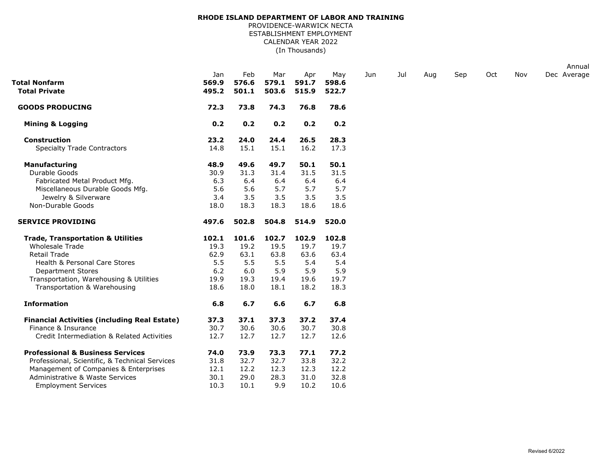## **RHODE ISLAND DEPARTMENT OF LABOR AND TRAINING**

(In Thousands) PROVIDENCE-WARWICK NECTA ESTABLISHMENT EMPLOYMENT CALENDAR YEAR 2022

|                                                     |                       |                       |                       |                       |                       |     |     |     |     |     |     | Annual      |
|-----------------------------------------------------|-----------------------|-----------------------|-----------------------|-----------------------|-----------------------|-----|-----|-----|-----|-----|-----|-------------|
| Total Nonfarm<br><b>Total Private</b>               | Jan<br>569.9<br>495.2 | Feb<br>576.6<br>501.1 | Mar<br>579.1<br>503.6 | Apr<br>591.7<br>515.9 | May<br>598.6<br>522.7 | Jun | Jul | Aug | Sep | Oct | Nov | Dec Average |
| <b>GOODS PRODUCING</b>                              | 72.3                  | 73.8                  | 74.3                  | 76.8                  | 78.6                  |     |     |     |     |     |     |             |
| <b>Mining &amp; Logging</b>                         | 0.2                   | 0.2                   | 0.2                   | 0.2                   | 0.2                   |     |     |     |     |     |     |             |
| <b>Construction</b>                                 | 23.2                  | 24.0                  | 24.4                  | 26.5                  | 28.3                  |     |     |     |     |     |     |             |
| <b>Specialty Trade Contractors</b>                  | 14.8                  | 15.1                  | 15.1                  | 16.2                  | 17.3                  |     |     |     |     |     |     |             |
| <b>Manufacturing</b>                                | 48.9                  | 49.6                  | 49.7                  | 50.1                  | 50.1                  |     |     |     |     |     |     |             |
| Durable Goods                                       | 30.9                  | 31.3                  | 31.4                  | 31.5                  | 31.5                  |     |     |     |     |     |     |             |
| Fabricated Metal Product Mfg.                       | 6.3                   | 6.4                   | 6.4                   | 6.4                   | 6.4                   |     |     |     |     |     |     |             |
| Miscellaneous Durable Goods Mfg.                    | 5.6                   | 5.6                   | 5.7                   | 5.7                   | 5.7                   |     |     |     |     |     |     |             |
| Jewelry & Silverware                                | 3.4                   | 3.5                   | 3.5                   | 3.5                   | 3.5                   |     |     |     |     |     |     |             |
| Non-Durable Goods                                   | 18.0                  | 18.3                  | 18.3                  | 18.6                  | 18.6                  |     |     |     |     |     |     |             |
| <b>SERVICE PROVIDING</b>                            | 497.6                 | 502.8                 | 504.8                 | 514.9                 | 520.0                 |     |     |     |     |     |     |             |
| <b>Trade, Transportation &amp; Utilities</b>        | 102.1                 | 101.6                 | 102.7                 | 102.9                 | 102.8                 |     |     |     |     |     |     |             |
| <b>Wholesale Trade</b>                              | 19.3                  | 19.2                  | 19.5                  | 19.7                  | 19.7                  |     |     |     |     |     |     |             |
| <b>Retail Trade</b>                                 | 62.9                  | 63.1                  | 63.8                  | 63.6                  | 63.4                  |     |     |     |     |     |     |             |
| Health & Personal Care Stores                       | 5.5                   | 5.5                   | 5.5                   | 5.4                   | 5.4                   |     |     |     |     |     |     |             |
| <b>Department Stores</b>                            | 6.2                   | 6.0                   | 5.9                   | 5.9                   | 5.9                   |     |     |     |     |     |     |             |
| Transportation, Warehousing & Utilities             | 19.9                  | 19.3                  | 19.4                  | 19.6                  | 19.7                  |     |     |     |     |     |     |             |
| Transportation & Warehousing                        | 18.6                  | 18.0                  | 18.1                  | 18.2                  | 18.3                  |     |     |     |     |     |     |             |
| <b>Information</b>                                  | 6.8                   | 6.7                   | 6.6                   | 6.7                   | 6.8                   |     |     |     |     |     |     |             |
| <b>Financial Activities (including Real Estate)</b> | 37.3                  | 37.1                  | 37.3                  | 37.2                  | 37.4                  |     |     |     |     |     |     |             |
| Finance & Insurance                                 | 30.7                  | 30.6                  | 30.6                  | 30.7                  | 30.8                  |     |     |     |     |     |     |             |
| Credit Intermediation & Related Activities          | 12.7                  | 12.7                  | 12.7                  | 12.7                  | 12.6                  |     |     |     |     |     |     |             |
| <b>Professional &amp; Business Services</b>         | 74.0                  | 73.9                  | 73.3                  | 77.1                  | 77.2                  |     |     |     |     |     |     |             |
| Professional, Scientific, & Technical Services      | 31.8                  | 32.7                  | 32.7                  | 33.8                  | 32.2                  |     |     |     |     |     |     |             |
| Management of Companies & Enterprises               | 12.1                  | 12.2                  | 12.3                  | 12.3                  | 12.2                  |     |     |     |     |     |     |             |
| Administrative & Waste Services                     | 30.1                  | 29.0                  | 28.3                  | 31.0                  | 32.8                  |     |     |     |     |     |     |             |
| <b>Employment Services</b>                          | 10.3                  | 10.1                  | 9.9                   | 10.2                  | 10.6                  |     |     |     |     |     |     |             |
|                                                     |                       |                       |                       |                       |                       |     |     |     |     |     |     |             |